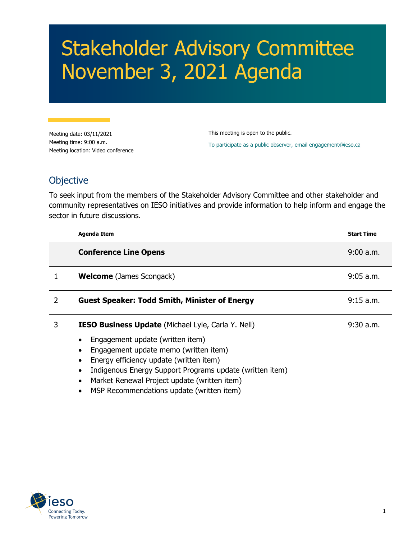## Stakeholder Advisory Committee November 3, 2021 Agenda

Meeting date: 03/11/2021 Meeting time: 9:00 a.m. Meeting location: Video conference This meeting is open to the public. To participate as a public observer, email [engagement@ieso.ca](mailto:engagement@ieso.ca)

## **Objective**

To seek input from the members of the Stakeholder Advisory Committee and other stakeholder and community representatives on IESO initiatives and provide information to help inform and engage the sector in future discussions.

|               | <b>Agenda Item</b>                                                                                                                                                                                                                                                                                                                         | <b>Start Time</b> |
|---------------|--------------------------------------------------------------------------------------------------------------------------------------------------------------------------------------------------------------------------------------------------------------------------------------------------------------------------------------------|-------------------|
|               | <b>Conference Line Opens</b>                                                                                                                                                                                                                                                                                                               | 9:00 a.m.         |
|               | <b>Welcome</b> (James Scongack)                                                                                                                                                                                                                                                                                                            | $9:05$ a.m.       |
| $\mathcal{P}$ | <b>Guest Speaker: Todd Smith, Minister of Energy</b>                                                                                                                                                                                                                                                                                       | 9:15 a.m.         |
| 3             | <b>IESO Business Update</b> (Michael Lyle, Carla Y. Nell)<br>Engagement update (written item)<br>Engagement update memo (written item)<br>Energy efficiency update (written item)<br>Indigenous Energy Support Programs update (written item)<br>Market Renewal Project update (written item)<br>MSP Recommendations update (written item) | $9:30$ a.m.       |